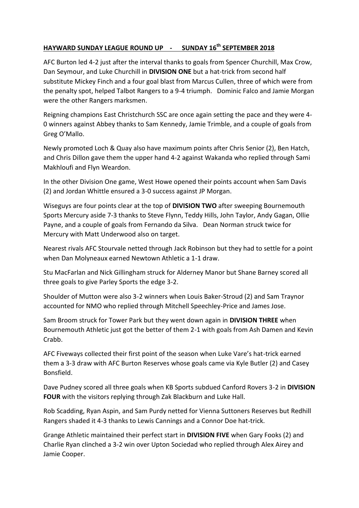## **HAYWARD SUNDAY LEAGUE ROUND UP - SUNDAY 16th SEPTEMBER 2018**

AFC Burton led 4-2 just after the interval thanks to goals from Spencer Churchill, Max Crow, Dan Seymour, and Luke Churchill in **DIVISION ONE** but a hat-trick from second half substitute Mickey Finch and a four goal blast from Marcus Cullen, three of which were from the penalty spot, helped Talbot Rangers to a 9-4 triumph. Dominic Falco and Jamie Morgan were the other Rangers marksmen.

Reigning champions East Christchurch SSC are once again setting the pace and they were 4- 0 winners against Abbey thanks to Sam Kennedy, Jamie Trimble, and a couple of goals from Greg O'Mallo.

Newly promoted Loch & Quay also have maximum points after Chris Senior (2), Ben Hatch, and Chris Dillon gave them the upper hand 4-2 against Wakanda who replied through Sami Makhloufi and Flyn Weardon.

In the other Division One game, West Howe opened their points account when Sam Davis (2) and Jordan Whittle ensured a 3-0 success against JP Morgan.

Wiseguys are four points clear at the top of **DIVISION TWO** after sweeping Bournemouth Sports Mercury aside 7-3 thanks to Steve Flynn, Teddy Hills, John Taylor, Andy Gagan, Ollie Payne, and a couple of goals from Fernando da Silva. Dean Norman struck twice for Mercury with Matt Underwood also on target.

Nearest rivals AFC Stourvale netted through Jack Robinson but they had to settle for a point when Dan Molyneaux earned Newtown Athletic a 1-1 draw.

Stu MacFarlan and Nick Gillingham struck for Alderney Manor but Shane Barney scored all three goals to give Parley Sports the edge 3-2.

Shoulder of Mutton were also 3-2 winners when Louis Baker-Stroud (2) and Sam Traynor accounted for NMO who replied through Mitchell Speechley-Price and James Jose.

Sam Broom struck for Tower Park but they went down again in **DIVISION THREE** when Bournemouth Athletic just got the better of them 2-1 with goals from Ash Damen and Kevin Crabb.

AFC Fiveways collected their first point of the season when Luke Vare's hat-trick earned them a 3-3 draw with AFC Burton Reserves whose goals came via Kyle Butler (2) and Casey Bonsfield.

Dave Pudney scored all three goals when KB Sports subdued Canford Rovers 3-2 in **DIVISION FOUR** with the visitors replying through Zak Blackburn and Luke Hall.

Rob Scadding, Ryan Aspin, and Sam Purdy netted for Vienna Suttoners Reserves but Redhill Rangers shaded it 4-3 thanks to Lewis Cannings and a Connor Doe hat-trick.

Grange Athletic maintained their perfect start in **DIVISION FIVE** when Gary Fooks (2) and Charlie Ryan clinched a 3-2 win over Upton Sociedad who replied through Alex Airey and Jamie Cooper.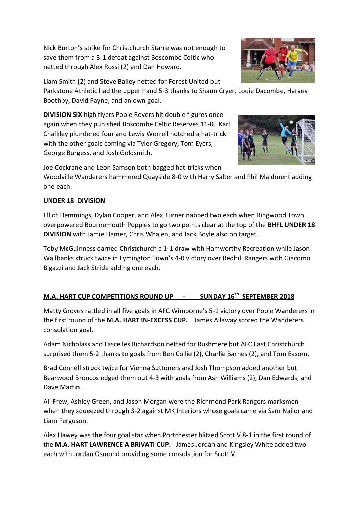Nick Burton's strike for Christchurch Starre was not enough to save them from a 3-1 defeat against Boscombe Celtic who netted through Alex Rossi (2) and Dan Howard.



Parkstone Athletic had the upper hand 5-3 thanks to Shaun Cryer, Louie Dacombe, Harvey Boothby, David Payne, and an own goal.

**DIVISION SIX** high flyers Poole Rovers hit double figures once again when they punished Boscombe Celtic Reserves 11-0. Karl Chalkley plundered four and Lewis Worrell notched a hat-trick with the other goals coming via Tyler Gregory, Tom Eyers, George Burgess, and Josh Goldsmith.

Joe Cockrane and Leon Samson both bagged hat-tricks when

Woodville Wanderers hammered Quayside 8-0 with Harry Salter and Phil Maidment adding one each.

## **UNDER 18 DIVISION**

Elliot Hemmings, Dylan Cooper, and Alex Turner nabbed two each when Ringwood Town overpowered Bournemouth Poppies to go two points clear at the top of the **BHFL UNDER 18 DIVISION** with Jamie Hamer, Chris Whalen, and Jack Boyle also on target.

Toby McGuinness earned Christchurch a 1-1 draw with Hamworthy Recreation while Jason Wallbanks struck twice in Lymington Town's 4-0 victory over Redhill Rangers with Giacomo Bigazzi and Jack Stride adding one each.

## **M.A. HART CUP COMPETITIONS ROUND UP - SUNDAY 16th SEPTEMBER 2018**

Matty Groves rattled in all five goals in AFC Wimborne's 5-1 victory over Poole Wanderers in the first round of the **M.A. HART IN-EXCESS CUP.** James Allaway scored the Wanderers consolation goal.

Adam Nicholass and Lascelles Richardson netted for Rushmere but AFC East Christchurch surprised them 5-2 thanks to goals from Ben Collie (2), Charlie Barnes (2), and Tom Easom.

Brad Connell struck twice for Vienna Suttoners and Josh Thompson added another but Bearwood Broncos edged them out 4-3 with goals from Ash Williams (2), Dan Edwards, and Dave Martin.

Ali Frew, Ashley Green, and Jason Morgan were the Richmond Park Rangers marksmen when they squeezed through 3-2 against MK Interiors whose goals came via Sam Nailor and Liam Ferguson.

Alex Hawey was the four goal star when Portchester blitzed Scott V 8-1 in the first round of the **M.A. HART LAWRENCE A BRIVATI CUP.** James Jordan and Kingsley White added two each with Jordan Osmond providing some consolation for Scott V.